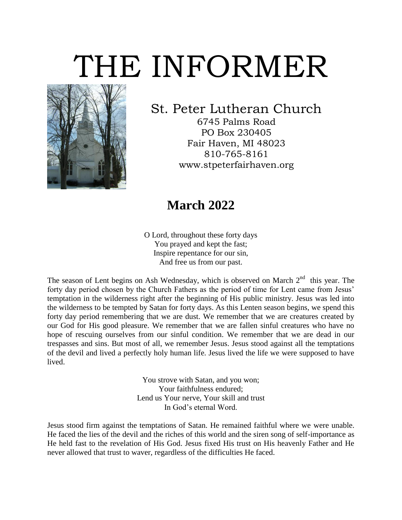# THE INFORMER



### St. Peter Lutheran Church

6745 Palms Road PO Box 230405 Fair Haven, MI 48023 810-765-8161 www.stpeterfairhaven.org

### **March 2022**

O Lord, throughout these forty days You prayed and kept the fast; Inspire repentance for our sin, And free us from our past.

The season of Lent begins on Ash Wednesday, which is observed on March  $2<sup>nd</sup>$  this year. The forty day period chosen by the Church Fathers as the period of time for Lent came from Jesus' temptation in the wilderness right after the beginning of His public ministry. Jesus was led into the wilderness to be tempted by Satan for forty days. As this Lenten season begins, we spend this forty day period remembering that we are dust. We remember that we are creatures created by our God for His good pleasure. We remember that we are fallen sinful creatures who have no hope of rescuing ourselves from our sinful condition. We remember that we are dead in our trespasses and sins. But most of all, we remember Jesus. Jesus stood against all the temptations of the devil and lived a perfectly holy human life. Jesus lived the life we were supposed to have lived.

> You strove with Satan, and you won; Your faithfulness endured; Lend us Your nerve, Your skill and trust In God's eternal Word.

Jesus stood firm against the temptations of Satan. He remained faithful where we were unable. He faced the lies of the devil and the riches of this world and the siren song of self-importance as He held fast to the revelation of His God. Jesus fixed His trust on His heavenly Father and He never allowed that trust to waver, regardless of the difficulties He faced.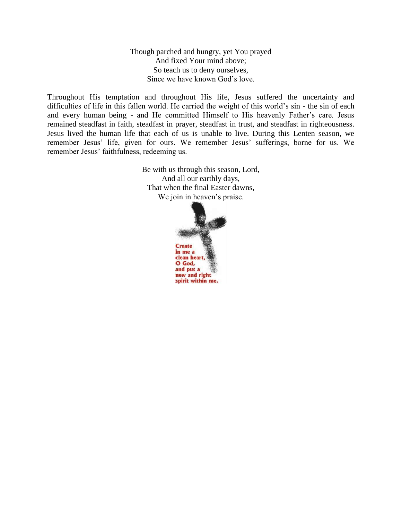Though parched and hungry, yet You prayed And fixed Your mind above; So teach us to deny ourselves, Since we have known God's love.

Throughout His temptation and throughout His life, Jesus suffered the uncertainty and difficulties of life in this fallen world. He carried the weight of this world's sin - the sin of each and every human being - and He committed Himself to His heavenly Father's care. Jesus remained steadfast in faith, steadfast in prayer, steadfast in trust, and steadfast in righteousness. Jesus lived the human life that each of us is unable to live. During this Lenten season, we remember Jesus' life, given for ours. We remember Jesus' sufferings, borne for us. We remember Jesus' faithfulness, redeeming us.

> Be with us through this season, Lord, And all our earthly days, That when the final Easter dawns, We join in heaven's praise.

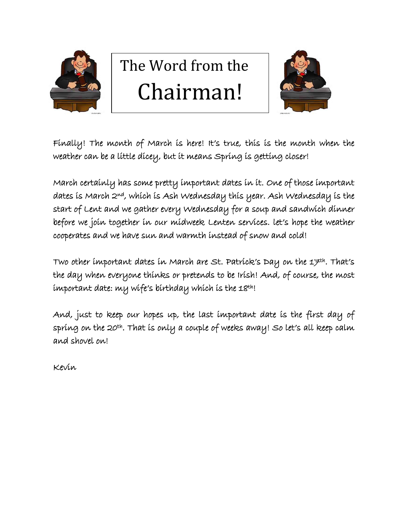

## The Word from the Chairman!



Finally! The month of March is here! It's true, this is the month when the weather can be a little dicey, but it means Spring is getting closer!

March certainly has some pretty important dates in it. One of those important dates is March 2nd, which is Ash Wednesday this year. Ash Wednesday is the start of Lent and we gather every Wednesday for a soup and sandwich dinner before we join together in our midweek Lenten services. let's hope the weather cooperates and we have sun and warmth instead of snow and cold!

Two other important dates in March are St. Patrick's Day on the 17<sup>th</sup>. That's the day when everyone thinks or pretends to be Irish! And, of course, the most important date: my wife's birthday which is the 18th!

And, just to keep our hopes up, the last important date is the first day of spring on the 20th. That is only a couple of weeks away! So let's all keep calm and shovel on!

Kevin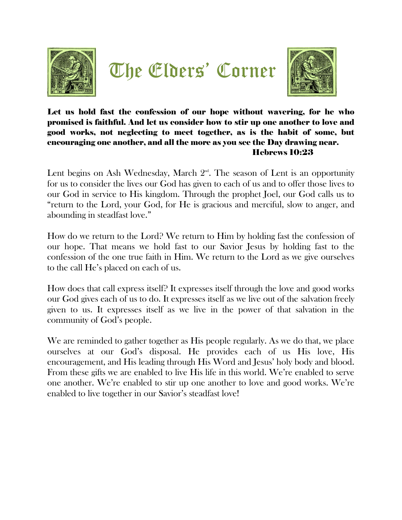





#### Let us hold fast the confession of our hope without wavering, for he who promised is faithful. And let us consider how to stir up one another to love and good works, not neglecting to meet together, as is the habit of some, but encouraging one another, and all the more as you see the Day drawing near. Hebrews 10:23

Lent begins on Ash Wednesday, March  $2<sup>nd</sup>$ . The season of Lent is an opportunity for us to consider the lives our God has given to each of us and to offer those lives to our God in service to His kingdom. Through the prophet Joel, our God calls us to "return to the Lord, your God, for He is gracious and merciful, slow to anger, and abounding in steadfast love."

How do we return to the Lord? We return to Him by holding fast the confession of our hope. That means we hold fast to our Savior Jesus by holding fast to the confession of the one true faith in Him. We return to the Lord as we give ourselves to the call He's placed on each of us.

How does that call express itself? It expresses itself through the love and good works our God gives each of us to do. It expresses itself as we live out of the salvation freely given to us. It expresses itself as we live in the power of that salvation in the community of God's people.

We are reminded to gather together as His people regularly. As we do that, we place ourselves at our God's disposal. He provides each of us His love, His encouragement, and His leading through His Word and Jesus' holy body and blood. From these gifts we are enabled to live His life in this world. We're enabled to serve one another. We're enabled to stir up one another to love and good works. We're enabled to live together in our Savior's steadfast love!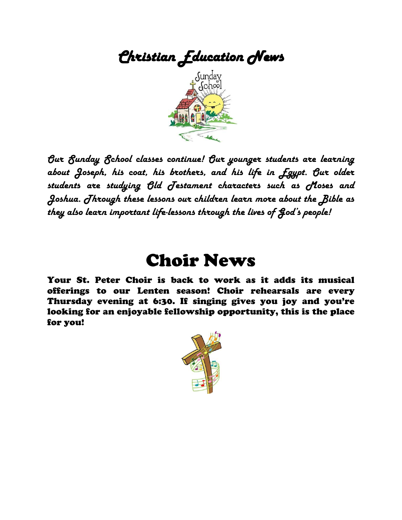

*Our Sunday School classes continue! Our younger students are learning about Joseph, his coat, his brothers, and his life in Egypt. Our older students are studying Old Testament characters such as Moses and Joshua. Through these lessons our children learn more about the Bible as they also learn important life-lessons through the lives of God's people!*

## Choir News

Your St. Peter Choir is back to work as it adds its musical offerings to our Lenten season! Choir rehearsals are every Thursday evening at 6:30. If singing gives you joy and you're looking for an enjoyable fellowship opportunity, this is the place for you!

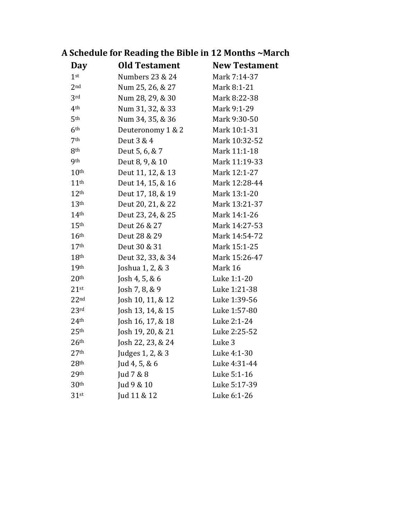| rocheane for neaung the bible in 12 months - march |                      |                      |
|----------------------------------------------------|----------------------|----------------------|
| Day                                                | <b>Old Testament</b> | <b>New Testament</b> |
| 1 <sup>st</sup>                                    | Numbers 23 & 24      | Mark 7:14-37         |
| 2 <sub>nd</sub>                                    | Num 25, 26, & 27     | Mark 8:1-21          |
| 3rd                                                | Num 28, 29, & 30     | Mark 8:22-38         |
| 4 <sup>th</sup>                                    | Num 31, 32, & 33     | Mark 9:1-29          |
| 5th                                                | Num 34, 35, & 36     | Mark 9:30-50         |
| 6 <sup>th</sup>                                    | Deuteronomy 1 & 2    | Mark 10:1-31         |
| 7th                                                | Deut 3 & 4           | Mark 10:32-52        |
| 8 <sup>th</sup>                                    | Deut 5, 6, & 7       | Mark 11:1-18         |
| <b>9th</b>                                         | Deut 8, 9, & 10      | Mark 11:19-33        |
| 10 <sup>th</sup>                                   | Deut 11, 12, & 13    | Mark 12:1-27         |
| 11 <sup>th</sup>                                   | Deut 14, 15, & 16    | Mark 12:28-44        |
| 12 <sup>th</sup>                                   | Deut 17, 18, & 19    | Mark 13:1-20         |
| 13 <sup>th</sup>                                   | Deut 20, 21, & 22    | Mark 13:21-37        |
| 14 <sup>th</sup>                                   | Deut 23, 24, & 25    | Mark 14:1-26         |
| 15 <sup>th</sup>                                   | Deut 26 & 27         | Mark 14:27-53        |
| 16 <sup>th</sup>                                   | Deut 28 & 29         | Mark 14:54-72        |
| 17 <sup>th</sup>                                   | Deut 30 & 31         | Mark 15:1-25         |
| 18 <sup>th</sup>                                   | Deut 32, 33, & 34    | Mark 15:26-47        |
| 19 <sup>th</sup>                                   | Joshua 1, 2, & 3     | Mark 16              |
| 20 <sup>th</sup>                                   | Josh 4, 5, & $6$     | Luke 1:1-20          |
| $21$ st                                            | Josh 7, 8, $& 9$     | Luke 1:21-38         |
| 22 <sup>nd</sup>                                   | Josh 10, 11, & 12    | Luke 1:39-56         |
| 23 <sup>rd</sup>                                   | Josh 13, 14, & 15    | Luke 1:57-80         |
| 24 <sup>th</sup>                                   | Josh 16, 17, & 18    | Luke 2:1-24          |
| 25 <sup>th</sup>                                   | Josh 19, 20, & 21    | Luke 2:25-52         |
| 26 <sup>th</sup>                                   | Josh 22, 23, & 24    | Luke 3               |
| 27 <sup>th</sup>                                   | Judges 1, 2, & 3     | Luke 4:1-30          |
| 28 <sup>th</sup>                                   | Jud 4, 5, & 6        | Luke 4:31-44         |
| 29 <sup>th</sup>                                   | Jud 7 & 8            | Luke 5:1-16          |
| 30 <sup>th</sup>                                   | Jud 9 & 10           | Luke 5:17-39         |
| $31$ st                                            | Jud 11 & 12          | Luke 6:1-26          |

### **A Schedule for Reading the Bible in 12 Months ~March**